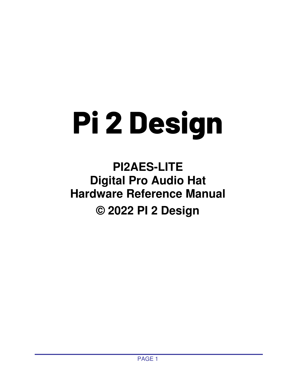# **Pi 2 Design**

# **PI2AES-LITE Digital Pro Audio Hat Hardware Reference Manual © 2022 PI 2 Design**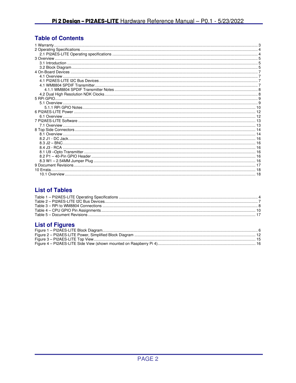## **Table of Contents**

| 6.1 Overview |  |
|--------------|--|
|              |  |
|              |  |
|              |  |
|              |  |
|              |  |
|              |  |
|              |  |
|              |  |
|              |  |
|              |  |
|              |  |
|              |  |
|              |  |

## **List of Tables**

## **List of Figures**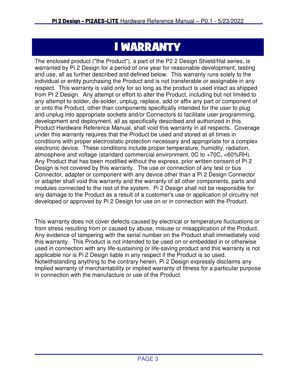# 1 WARRANTY

The enclosed product ("the Product"), a part of the P2 2 Design Shield/Hat series, is warranted by Pi 2 Design for a period of one year for reasonable development, testing and use, all as further described and defined below. This warranty runs solely to the individual or entity purchasing the Product and is not transferable or assignable in any respect. This warranty is valid only for so long as the product is used intact as shipped from PI 2 Design. Any attempt or effort to alter the Product, including but not limited to any attempt to solder, de-solder, unplug, replace, add or affix any part or component of or onto the Product, other than components specifically intended for the user to plug and unplug into appropriate sockets and/or Connectors to facilitate user programming, development and deployment, all as specifically described and authorized in this Product Hardware Reference Manual, shall void this warranty in all respects. Coverage under this warranty requires that the Product be used and stored at all times in conditions with proper electrostatic protection necessary and appropriate for a complex electronic device. These conditions include proper temperature, humidity, radiation, atmosphere and voltage (standard commercial environment, 0C to +70C, <60%RH). Any Product that has been modified without the express, prior written consent of Pi 2 Design is not covered by this warranty. The use or connection of any test or bus Connector, adapter or component with any device other than a Pi 2 Design Connector or adapter shall void this warranty and the warranty of all other components, parts and modules connected to the rest of the system. Pi 2 Design shall not be responsible for any damage to the Product as a result of a customer's use or application of circuitry not developed or approved by Pi 2 Design for use on or in connection with the Product.

This warranty does not cover defects caused by electrical or temperature fluctuations or from stress resulting from or caused by abuse, misuse or misapplication of the Product. Any evidence of tampering with the serial number on the Product shall immediately void this warranty. This Product is not intended to be used on or embedded in or otherwise used in connection with any life-sustaining or life-saving product and this warranty is not applicable nor is Pi 2 Design liable in any respect if the Product is so used. Notwithstanding anything to the contrary herein, Pi 2 Design expressly disclaims any implied warranty of merchantability or implied warranty of fitness for a particular purpose in connection with the manufacture or use of the Product.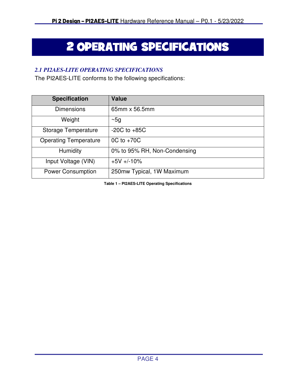# 2 OPERATING SPECIFICATIONS

## *2.1 PI2AES-LITE OPERATING SPECIFICATIONS*

The PI2AES-LITE conforms to the following specifications:

| <b>Specification</b>         | <b>Value</b>                 |
|------------------------------|------------------------------|
| <b>Dimensions</b>            | 65mm x 56.5mm                |
| Weight                       | ~5g                          |
| <b>Storage Temperature</b>   | $-20C$ to $+85C$             |
| <b>Operating Temperature</b> | $OC$ to $+70C$               |
| Humidity                     | 0% to 95% RH, Non-Condensing |
| Input Voltage (VIN)          | $+5V + -10%$                 |
| <b>Power Consumption</b>     | 250mw Typical, 1W Maximum    |

**Table 1 – PI2AES-LITE Operating Specifications**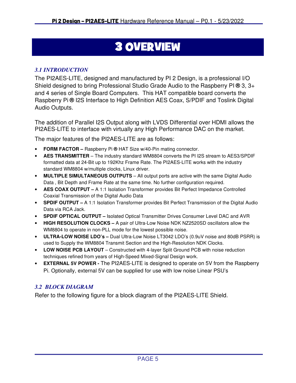# 3 OVERVIEW

## *3.1 INTRODUCTION*

The PI2AES-LITE, designed and manufactured by PI 2 Design, is a professional I/O Shield designed to bring Professional Studio Grade Audio to the Raspberry PI **®** 3, 3+ and 4 series of Single Board Computers. This HAT compatible board converts the Raspberry Pi **®** I2S Interface to High Definition AES Coax, S/PDIF and Toslink Digital Audio Outputs.

The addition of Parallel I2S Output along with LVDS Differential over HDMI allows the PI2AES-LITE to interface with virtually any High Performance DAC on the market.

The major features of the PI2AES-LITE are as follows:

- **FORM FACTOR –** Raspberry Pi **®** HAT Size w/40-Pin mating connector.
- **AES TRANSMITTER**  The industry standard WM8804 converts the PI I2S stream to AES3/SPDIF formatted data at 24-Bit up to 192Khz Frame Rate. The PI2AES-LITE works with the industry standard WM8804 w/multiple clocks, Linux driver.
- **MULTIPLE SIMULTANEOUS OUTPUTS**  All output ports are active with the same Digital Audio Data , Bit Depth and Frame Rate at the same time. No further configuration required.
- **AES COAX OUTPUT –** A 1:1 Isolation Transformer provides Bit Perfect Impedance Controlled Coaxial Transmission of the Digital Audio Data
- **SPDIF OUTPUT –** A 1:1 Isolation Transformer provides Bit Perfect Transmission of the Digital Audio Data via RCA Jack.
- **SPDIF OPTICAL OUTPUT** Isolated Optical Transmitter Drives Consumer Level DAC and AVR
- **HIGH RESOLUTION CLOCKS –** A pair of Ultra-Low Noise NDK NZ2520SD oscillators allow the WM8804 to operate in non-PLL mode for the lowest possible noise.
- **ULTRA-LOW NOISE LDO's –** Dual Ultra-Low Noise LT3042 LDO's (0.9uV noise and 80dB PSRR) is used to Supply the WM8804 Transmit Section and the High-Resolution NDK Clocks.
- **LOW NOISE PCB LAYOUT** Constructed with 4-layer Split Ground PCB with noise reduction techniques refined from years of High-Speed Mixed-Signal Design work.
- **EXTERNAL 5V POWER -** The PI2AES-LITE is designed to operate on 5V from the Raspberry Pi. Optionally, external 5V can be supplied for use with low noise Linear PSU's

## *3.2 BLOCK DIAGRAM*

Refer to the following figure for a block diagram of the PI2AES-LITE Shield.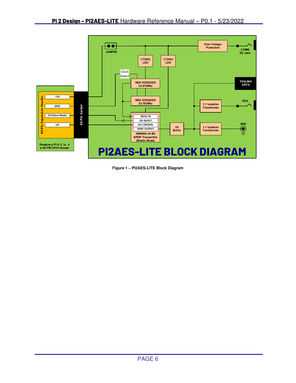

**Figure 1 – PI2AES-LITE Block Diagram**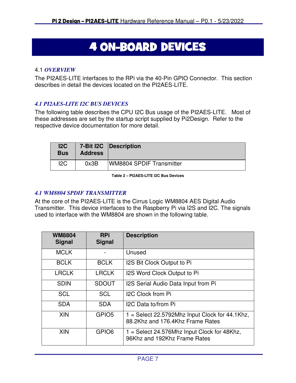# 4 ON-BOARD DEVICES

#### 4.1 *OVERVIEW*

The PI2AES-LITE interfaces to the RPi via the 40-Pin GPIO Connector. This section describes in detail the devices located on the PI2AES-LITE.

## *4.1 PI2AES-LITE I2C BUS DEVICES*

The following table describes the CPU I2C Bus usage of the PI2AES-LITE. Most of these addresses are set by the startup script supplied by Pi2Design. Refer to the respective device documentation for more detail.

| 12C<br><b>Bus</b> | <b>Address</b> | 7-Bit I2C   Description         |
|-------------------|----------------|---------------------------------|
| 12C               | 0x3B           | <b>WM8804 SPDIF Transmitter</b> |

**Table 2 – PI2AES-LITE I2C Bus Devices** 

## *4.1 WM8804 SPDIF TRANSMITTER*

At the core of the PI2AES-LITE is the Cirrus Logic WM8804 AES Digital Audio Transmitter. This device interfaces to the Raspberry Pi via I2S and I2C. The signals used to interface with the WM8804 are shown in the following table.

| <b>WM8804</b><br><b>Signal</b> | <b>RPi</b><br><b>Signal</b> | <b>Description</b>                                                                   |
|--------------------------------|-----------------------------|--------------------------------------------------------------------------------------|
| <b>MCLK</b>                    |                             | Unused                                                                               |
| <b>BCLK</b>                    | <b>BCLK</b>                 | I2S Bit Clock Output to Pi                                                           |
| <b>LRCLK</b>                   | <b>LRCLK</b>                | I2S Word Clock Output to Pi                                                          |
| <b>SDIN</b>                    | <b>SDOUT</b>                | I2S Serial Audio Data Input from Pi                                                  |
| <b>SCL</b>                     | <b>SCL</b>                  | <b>I2C Clock from Pi</b>                                                             |
| <b>SDA</b>                     | <b>SDA</b>                  | I2C Data to/from Pi                                                                  |
| <b>XIN</b>                     | GPIO <sub>5</sub>           | $1 =$ Select 22.5792Mhz Input Clock for 44.1Khz,<br>88.2Khz and 176.4Khz Frame Rates |
| <b>XIN</b>                     | GPIO <sub>6</sub>           | 1 = Select 24.576Mhz Input Clock for 48Khz,<br>96Khz and 192Khz Frame Rates          |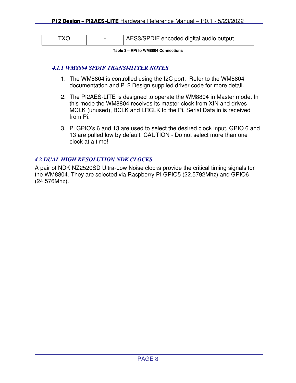| TXO . | AES3/SPDIF encoded digital audio output |
|-------|-----------------------------------------|
|-------|-----------------------------------------|

**Table 3 – RPi to WM8804 Connections** 

#### *4.1.1 WM8804 SPDIF TRANSMITTER NOTES*

- 1. The WM8804 is controlled using the I2C port. Refer to the WM8804 documentation and Pi 2 Design supplied driver code for more detail.
- 2. The PI2AES-LITE is designed to operate the WM8804 in Master mode. In this mode the WM8804 receives its master clock from XIN and drives MCLK (unused), BCLK and LRCLK to the Pi. Serial Data in is received from Pi.
- 3. Pi GPIO's 6 and 13 are used to select the desired clock input. GPIO 6 and 13 are pulled low by default. CAUTION - Do not select more than one clock at a time!

#### *4.2 DUAL HIGH RESOLUTION NDK CLOCKS*

A pair of NDK NZ2520SD Ultra-Low Noise clocks provide the critical timing signals for the WM8804. They are selected via Raspberry PI GPIO5 (22.5792Mhz) and GPIO6 (24.576Mhz).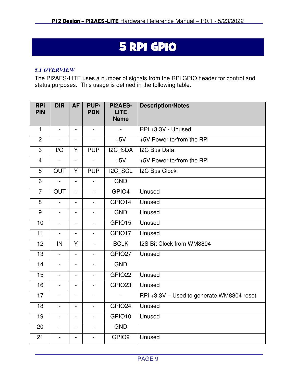# 5 RPI GPIO

#### *5.1 OVERVIEW*

The PI2AES-LITE uses a number of signals from the RPi GPIO header for control and status purposes. This usage is defined in the following table.

| <b>RPi</b><br><b>PIN</b> | <b>DIR</b>     | <b>AF</b>                    | PUP/<br><b>PDN</b>       | <b>PI2AES-</b><br><b>LITE</b><br><b>Name</b> | <b>Description/Notes</b>                  |
|--------------------------|----------------|------------------------------|--------------------------|----------------------------------------------|-------------------------------------------|
| $\mathbf{1}$             | $\Box$         | $\blacksquare$               | $\blacksquare$           | $\blacksquare$                               | RPi +3.3V - Unused                        |
| $\overline{2}$           | $\blacksquare$ | $\overline{\phantom{a}}$     | $\blacksquare$           | $+5V$                                        | +5V Power to/from the RPi                 |
| 3                        | I/O            | Y                            | <b>PUP</b>               | I2C_SDA                                      | <b>I2C Bus Data</b>                       |
| $\overline{4}$           | $\blacksquare$ | $\blacksquare$               | $\blacksquare$           | $+5V$                                        | +5V Power to/from the RPi                 |
| 5                        | <b>OUT</b>     | Y                            | <b>PUP</b>               | I2C_SCL                                      | <b>I2C Bus Clock</b>                      |
| 6                        | $\equiv$       | $\blacksquare$               | $\blacksquare$           | <b>GND</b>                                   |                                           |
| $\overline{7}$           | <b>OUT</b>     | $\frac{1}{2}$                | $\blacksquare$           | GPIO4                                        | Unused                                    |
| 8                        | $\blacksquare$ | $\overline{\phantom{a}}$     | $\blacksquare$           | GPIO14                                       | Unused                                    |
| 9                        | $\blacksquare$ | $\qquad \qquad \blacksquare$ | $\blacksquare$           | <b>GND</b>                                   | Unused                                    |
| 10                       | $\blacksquare$ | $\overline{\phantom{a}}$     | $\blacksquare$           | GPIO15                                       | Unused                                    |
| 11                       | $\blacksquare$ | $\overline{\phantom{0}}$     | $\blacksquare$           | GPIO17                                       | Unused                                    |
| 12                       | IN             | Y                            | $\blacksquare$           | <b>BCLK</b>                                  | I2S Bit Clock from WM8804                 |
| 13                       | $\blacksquare$ | $\overline{\phantom{a}}$     | $\blacksquare$           | GPIO27                                       | Unused                                    |
| 14                       | $\blacksquare$ | $\overline{\phantom{a}}$     | $\blacksquare$           | <b>GND</b>                                   |                                           |
| 15                       | $\blacksquare$ | $\overline{\phantom{0}}$     | $\blacksquare$           | GPIO22                                       | Unused                                    |
| 16                       | $\blacksquare$ |                              | $\blacksquare$           | GPIO23                                       | Unused                                    |
| 17                       | $\blacksquare$ | $\overline{\phantom{a}}$     | $\overline{\phantom{a}}$ |                                              | RPi +3.3V - Used to generate WM8804 reset |
| 18                       | $\blacksquare$ | $\overline{\phantom{a}}$     | $\blacksquare$           | GPIO24                                       | Unused                                    |
| 19                       | $\blacksquare$ | $\overline{\phantom{a}}$     | $\blacksquare$           | GPIO10                                       | Unused                                    |
| 20                       | $\blacksquare$ | $\overline{\phantom{0}}$     | $\blacksquare$           | <b>GND</b>                                   |                                           |
| 21                       | $\blacksquare$ | $\overline{\phantom{a}}$     | $\blacksquare$           | GPIO9                                        | Unused                                    |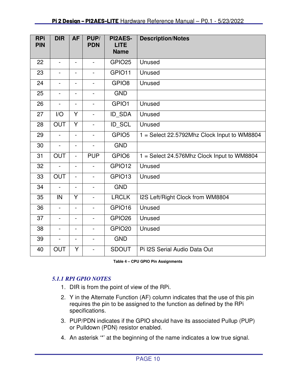| <b>RPi</b><br><b>PIN</b> | <b>DIR</b>               | <b>AF</b>                | PUP/<br><b>PDN</b>           | <b>PI2AES-</b><br><b>LITE</b><br><b>Name</b> | <b>Description/Notes</b>                    |
|--------------------------|--------------------------|--------------------------|------------------------------|----------------------------------------------|---------------------------------------------|
|                          |                          |                          |                              |                                              |                                             |
| 22                       | $\blacksquare$           | $\overline{\phantom{a}}$ | $\blacksquare$               | GPIO <sub>25</sub>                           | Unused                                      |
| 23                       | $\blacksquare$           | $\blacksquare$           | $\blacksquare$               | GPIO11                                       | Unused                                      |
| 24                       | $\blacksquare$           | $\blacksquare$           | $\qquad \qquad \blacksquare$ | GPIO <sub>8</sub>                            | Unused                                      |
| 25                       | $\blacksquare$           | $\blacksquare$           | $\overline{\phantom{0}}$     | <b>GND</b>                                   |                                             |
| 26                       | $\blacksquare$           | $\blacksquare$           | $\blacksquare$               | GPIO1                                        | Unused                                      |
| 27                       | I/O                      | Y                        | $\blacksquare$               | ID_SDA                                       | Unused                                      |
| 28                       | <b>OUT</b>               | Y                        | $\blacksquare$               | ID_SCL                                       | Unused                                      |
| 29                       | L.                       |                          |                              | GPIO <sub>5</sub>                            | 1 = Select 22.5792Mhz Clock Input to WM8804 |
| 30                       | $\overline{a}$           | $\overline{\phantom{a}}$ | $\blacksquare$               | <b>GND</b>                                   |                                             |
| 31                       | <b>OUT</b>               | $\blacksquare$           | <b>PUP</b>                   | GPIO <sub>6</sub>                            | 1 = Select 24.576Mhz Clock Input to WM8804  |
| 32                       | ÷,                       | $\blacksquare$           | $\blacksquare$               | GPIO12                                       | Unused                                      |
| 33                       | OUT                      | $\overline{\phantom{a}}$ | $\blacksquare$               | GPIO13                                       | Unused                                      |
| 34                       | $\frac{1}{2}$            | $\blacksquare$           | $\blacksquare$               | <b>GND</b>                                   |                                             |
| 35                       | IN                       | Y                        | $\frac{1}{2}$                | <b>LRCLK</b>                                 | I2S Left/Right Clock from WM8804            |
| 36                       | $\overline{\phantom{0}}$ |                          | $\overline{\phantom{0}}$     | GPIO16                                       | Unused                                      |
| 37                       | ä,                       | $\blacksquare$           | $\frac{1}{2}$                | GPIO <sub>26</sub>                           | Unused                                      |
| 38                       | L.                       | $\overline{\phantom{a}}$ | $\blacksquare$               | GPIO <sub>20</sub>                           | Unused                                      |
| 39                       | $\overline{\phantom{0}}$ | $\blacksquare$           | $\blacksquare$               | <b>GND</b>                                   |                                             |
| 40                       | <b>OUT</b>               | Y                        | $\overline{a}$               | <b>SDOUT</b>                                 | Pi I2S Serial Audio Data Out                |

**Table 4 – CPU GPIO Pin Assignments** 

## *5.1.1 RPI GPIO NOTES*

- 1. DIR is from the point of view of the RPi.
- 2. Y in the Alternate Function (AF) column indicates that the use of this pin requires the pin to be assigned to the function as defined by the RPi specifications.
- 3. PUP/PDN indicates if the GPIO should have its associated Pullup (PUP) or Pulldown (PDN) resistor enabled.
- 4. An asterisk '\*' at the beginning of the name indicates a low true signal.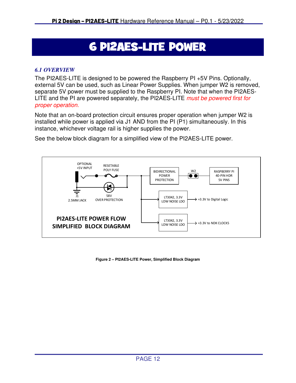# **6 PI2AES-LITE POWER**

### *6.1 OVERVIEW*

The PI2AES-LITE is designed to be powered the Raspberry PI +5V Pins. Optionally, external 5V can be used, such as Linear Power Supplies. When jumper W2 is removed, separate 5V power must be supplied to the Raspberry PI. Note that when the PI2AES-LITE and the PI are powered separately, the PI2AES-LITE must be powered first for proper operation.

Note that an on-board protection circuit ensures proper operation when jumper W2 is installed while power is applied via J1 AND from the PI (P1) simultaneously. In this instance, whichever voltage rail is higher supplies the power.

See the below block diagram for a simplified view of the PI2AES-LITE power.



**Figure 2 – PI2AES-LITE Power, Simplified Block Diagram**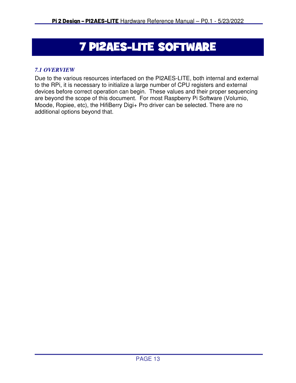# **7 PI2AES-LITE SOFTWARE**

## *7.1 OVERVIEW*

Due to the various resources interfaced on the PI2AES-LITE, both internal and external to the RPi, it is necessary to initialize a large number of CPU registers and external devices before correct operation can begin. These values and their proper sequencing are beyond the scope of this document. For most Raspberry Pi Software (Volumio, Moode, Ropiee, etc), the HifiBerry Digi+ Pro driver can be selected. There are no additional options beyond that.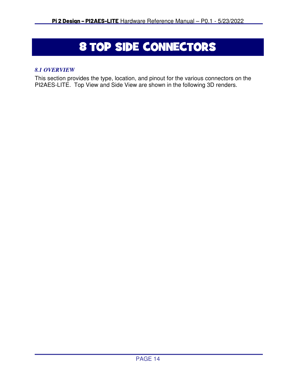# 8 TOP SIDE CONNECTORS

#### *8.1 OVERVIEW*

This section provides the type, location, and pinout for the various connectors on the PI2AES-LITE. Top View and Side View are shown in the following 3D renders.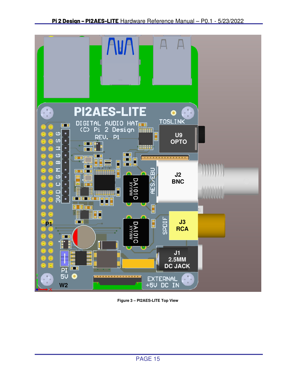

**Figure 3 – PI2AES-LITE Top View**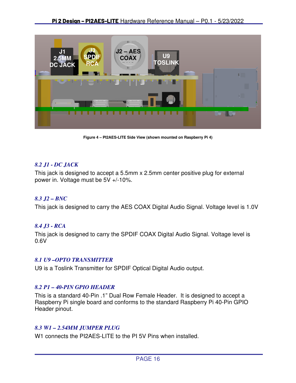

**Figure 4 – PI2AES-LITE Side View (shown mounted on Raspberry Pi 4)** 

#### *8.2 J1 - DC JACK*

This jack is designed to accept a 5.5mm x 2.5mm center positive plug for external power in. Voltage must be 5V +/-10%.

#### *8.3 J2 – BNC*

This jack is designed to carry the AES COAX Digital Audio Signal. Voltage level is 1.0V

#### *8.4 J3 - RCA*

This jack is designed to carry the SPDIF COAX Digital Audio Signal. Voltage level is 0.6V

#### *8.1 U9 –OPTO TRANSMITTER*

U9 is a Toslink Transmitter for SPDIF Optical Digital Audio output.

#### *8.2 P1 – 40-PIN GPIO HEADER*

This is a standard 40-Pin .1" Dual Row Female Header. It is designed to accept a Raspberry Pi single board and conforms to the standard Raspberry Pi 40-Pin GPIO Header pinout.

#### *8.3 W1 – 2.54MM JUMPER PLUG*

W1 connects the PI2AES-LITE to the PI 5V Pins when installed.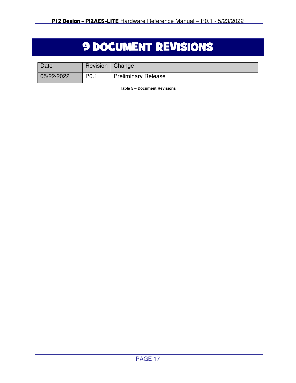# **9 DOCUMENT REVISIONS**

| <b>Date</b> | Revision   Change |                            |
|-------------|-------------------|----------------------------|
| 05/22/2022  | P <sub>0.1</sub>  | <b>Preliminary Release</b> |

**Table 5 – Document Revisions**